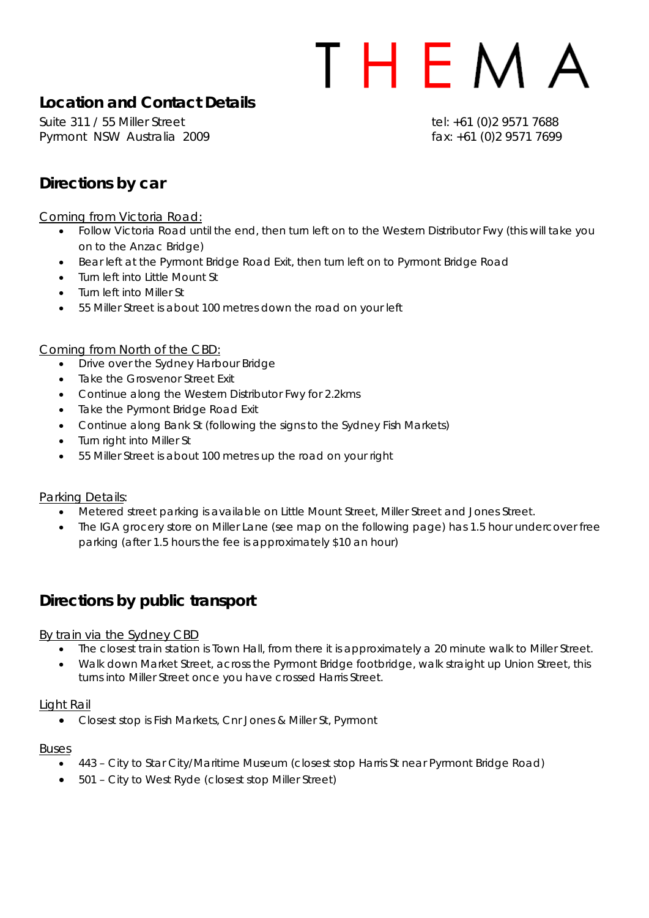## THEMA

## **Location and Contact Details**

Suite 311 / 55 Miller Street tel: +61 (0) 2 9571 7688 Pyrmont NSW Australia 2009 **fax:** +61 (0)2 9571 7699

## **Directions by car**

Coming from Victoria Road:

- Follow Victoria Road until the end, then turn left on to the Western Distributor Fwy (this will take you on to the Anzac Bridge)
- Bear left at the Pyrmont Bridge Road Exit, then turn left on to Pyrmont Bridge Road
- Turn left into Little Mount St
- Turn left into Miller St
- 55 Miller Street is about 100 metres down the road on your left

#### Coming from North of the CBD:

- Drive over the Sydney Harbour Bridge
- **Take the Grosvenor Street Exit**
- Continue along the Western Distributor Fwy for 2.2kms
- Take the Pyrmont Bridge Road Exit
- Continue along Bank St (following the signs to the Sydney Fish Markets)
- Turn right into Miller St
- 55 Miller Street is about 100 metres up the road on your right

#### Parking Details:

- Metered street parking is available on Little Mount Street, Miller Street and Jones Street.
- The IGA grocery store on Miller Lane (see map on the following page) has 1.5 hour undercover free parking (after 1.5 hours the fee is approximately \$10 an hour)

## **Directions by public transport**

#### By train via the Sydney CBD

- The closest train station is Town Hall, from there it is approximately a 20 minute walk to Miller Street.
- Walk down Market Street, across the Pyrmont Bridge footbridge, walk straight up Union Street, this turns into Miller Street once you have crossed Harris Street.

#### Light Rail

• Closest stop is Fish Markets, Cnr Jones & Miller St, Pyrmont

#### Buses

- 443 City to Star City/Maritime Museum (closest stop Harris St near Pyrmont Bridge Road)
- 501 City to West Ryde (closest stop Miller Street)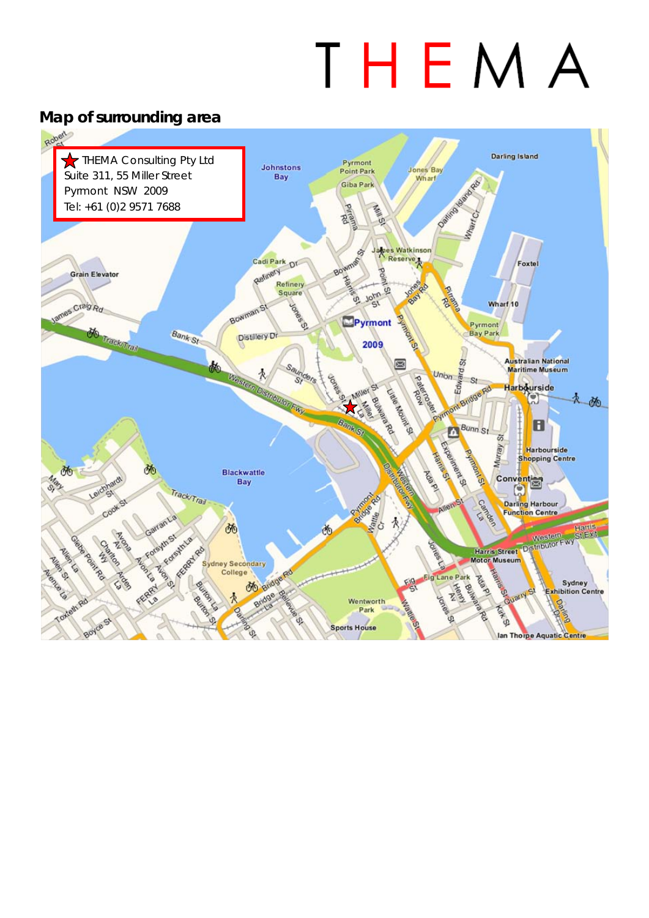# THEMA

## **Map of surrounding area**